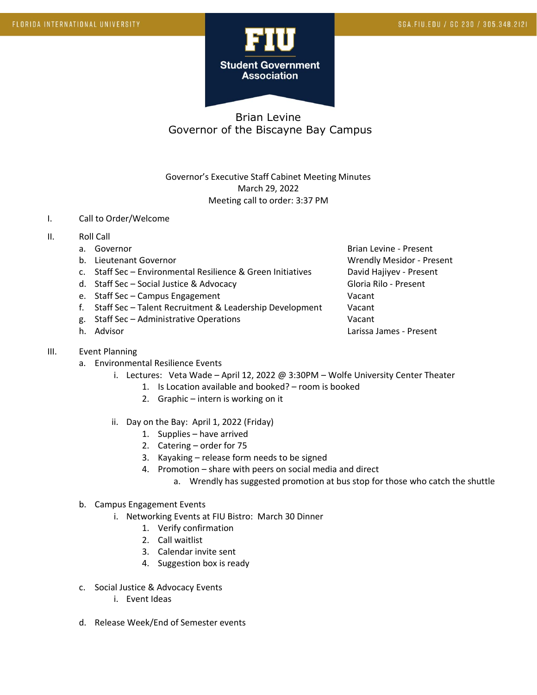

# Brian Levine Governor of the Biscayne Bay Campus

Governor's Executive Staff Cabinet Meeting Minutes March 29, 2022 Meeting call to order: 3:37 PM

#### I. Call to Order/Welcome

## II. Roll Call

- 
- 
- c. Staff Sec Environmental Resilience & Green Initiatives David Hajiyev Present
- d. Staff Sec Social Justice & Advocacy Contract Contract Gloria Rilo Present
- e. Staff Sec Campus Engagement Vacant
- f. Staff Sec Talent Recruitment & Leadership Development Vacant
- g. Staff Sec Administrative Operations Vacant
- 

### III. Event Planning

- a. Environmental Resilience Events
	- i. Lectures: Veta Wade April 12, 2022 @ 3:30PM Wolfe University Center Theater
		- 1. Is Location available and booked? room is booked
		- 2. Graphic intern is working on it
	- ii. Day on the Bay: April 1, 2022 (Friday)
		- 1. Supplies have arrived
		- 2. Catering order for 75
		- 3. Kayaking release form needs to be signed
		- 4. Promotion share with peers on social media and direct
			- a. Wrendly has suggested promotion at bus stop for those who catch the shuttle

#### b. Campus Engagement Events

- i. Networking Events at FIU Bistro: March 30 Dinner
	- 1. Verify confirmation
	- 2. Call waitlist
	- 3. Calendar invite sent
	- 4. Suggestion box is ready
- c. Social Justice & Advocacy Events
	- i. Event Ideas
- d. Release Week/End of Semester events

a. Governor **Brian Levine - Present** Brian Levine - Present b. Lieutenant Governor Christianus and Wrendly Mesidor - Present h. Advisor Larissa James - Present